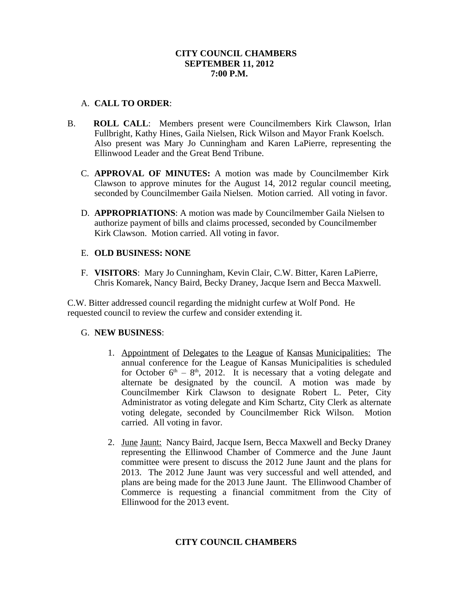### **CITY COUNCIL CHAMBERS SEPTEMBER 11, 2012 7:00 P.M.**

### A. **CALL TO ORDER**:

- B. **ROLL CALL**: Members present were Councilmembers Kirk Clawson, Irlan Fullbright, Kathy Hines, Gaila Nielsen, Rick Wilson and Mayor Frank Koelsch. Also present was Mary Jo Cunningham and Karen LaPierre, representing the Ellinwood Leader and the Great Bend Tribune.
	- C. **APPROVAL OF MINUTES:** A motion was made by Councilmember Kirk Clawson to approve minutes for the August 14, 2012 regular council meeting, seconded by Councilmember Gaila Nielsen. Motion carried. All voting in favor.
	- D. **APPROPRIATIONS**: A motion was made by Councilmember Gaila Nielsen to authorize payment of bills and claims processed, seconded by Councilmember Kirk Clawson. Motion carried. All voting in favor.

## E. **OLD BUSINESS: NONE**

F. **VISITORS**: Mary Jo Cunningham, Kevin Clair, C.W. Bitter, Karen LaPierre, Chris Komarek, Nancy Baird, Becky Draney, Jacque Isern and Becca Maxwell.

C.W. Bitter addressed council regarding the midnight curfew at Wolf Pond. He requested council to review the curfew and consider extending it.

# G. **NEW BUSINESS**:

- 1. Appointment of Delegates to the League of Kansas Municipalities: The annual conference for the League of Kansas Municipalities is scheduled for October  $6<sup>th</sup> - 8<sup>th</sup>$ , 2012. It is necessary that a voting delegate and alternate be designated by the council. A motion was made by Councilmember Kirk Clawson to designate Robert L. Peter, City Administrator as voting delegate and Kim Schartz, City Clerk as alternate voting delegate, seconded by Councilmember Rick Wilson. Motion carried. All voting in favor.
- 2. June Jaunt: Nancy Baird, Jacque Isern, Becca Maxwell and Becky Draney representing the Ellinwood Chamber of Commerce and the June Jaunt committee were present to discuss the 2012 June Jaunt and the plans for 2013. The 2012 June Jaunt was very successful and well attended, and plans are being made for the 2013 June Jaunt. The Ellinwood Chamber of Commerce is requesting a financial commitment from the City of Ellinwood for the 2013 event.

# **CITY COUNCIL CHAMBERS**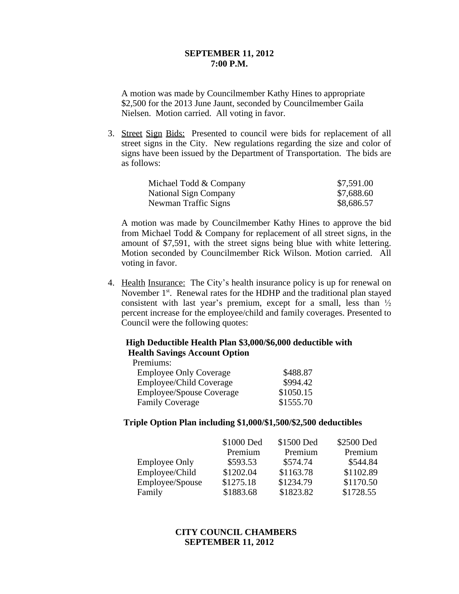#### **SEPTEMBER 11, 2012 7:00 P.M.**

A motion was made by Councilmember Kathy Hines to appropriate \$2,500 for the 2013 June Jaunt, seconded by Councilmember Gaila Nielsen. Motion carried. All voting in favor.

3. Street Sign Bids: Presented to council were bids for replacement of all street signs in the City. New regulations regarding the size and color of signs have been issued by the Department of Transportation. The bids are as follows:

| Michael Todd & Company | \$7,591.00 |
|------------------------|------------|
| National Sign Company  | \$7,688.60 |
| Newman Traffic Signs   | \$8,686.57 |

A motion was made by Councilmember Kathy Hines to approve the bid from Michael Todd & Company for replacement of all street signs, in the amount of \$7,591, with the street signs being blue with white lettering. Motion seconded by Councilmember Rick Wilson. Motion carried. All voting in favor.

4. Health Insurance: The City's health insurance policy is up for renewal on November 1<sup>st</sup>. Renewal rates for the HDHP and the traditional plan stayed consistent with last year's premium, except for a small, less than  $\frac{1}{2}$ percent increase for the employee/child and family coverages. Presented to Council were the following quotes:

## **High Deductible Health Plan \$3,000/\$6,000 deductible with Health Savings Account Option**

Premiums:

| <b>Employee Only Coverage</b> | \$488.87  |
|-------------------------------|-----------|
| Employee/Child Coverage       | \$994.42  |
| Employee/Spouse Coverage      | \$1050.15 |
| <b>Family Coverage</b>        | \$1555.70 |

### **Triple Option Plan including \$1,000/\$1,500/\$2,500 deductibles**

|                      | \$1000 Ded | \$1500 Ded | \$2500 Ded |
|----------------------|------------|------------|------------|
|                      | Premium    | Premium    | Premium    |
| <b>Employee Only</b> | \$593.53   | \$574.74   | \$544.84   |
| Employee/Child       | \$1202.04  | \$1163.78  | \$1102.89  |
| Employee/Spouse      | \$1275.18  | \$1234.79  | \$1170.50  |
| Family               | \$1883.68  | \$1823.82  | \$1728.55  |

**CITY COUNCIL CHAMBERS SEPTEMBER 11, 2012**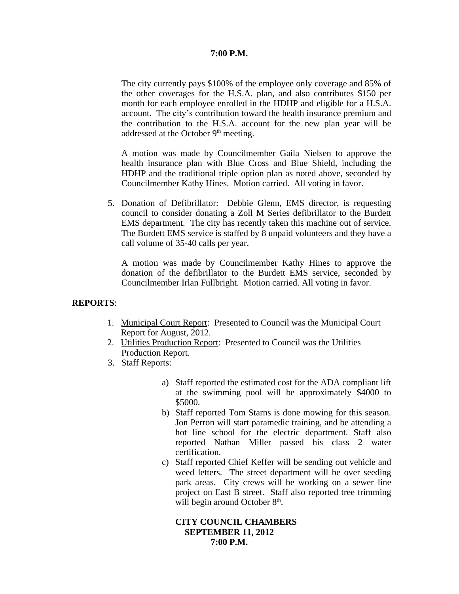### **7:00 P.M.**

The city currently pays \$100% of the employee only coverage and 85% of the other coverages for the H.S.A. plan, and also contributes \$150 per month for each employee enrolled in the HDHP and eligible for a H.S.A. account. The city's contribution toward the health insurance premium and the contribution to the H.S.A. account for the new plan year will be addressed at the October  $9<sup>th</sup>$  meeting.

A motion was made by Councilmember Gaila Nielsen to approve the health insurance plan with Blue Cross and Blue Shield, including the HDHP and the traditional triple option plan as noted above, seconded by Councilmember Kathy Hines. Motion carried. All voting in favor.

5. Donation of Defibrillator: Debbie Glenn, EMS director, is requesting council to consider donating a Zoll M Series defibrillator to the Burdett EMS department. The city has recently taken this machine out of service. The Burdett EMS service is staffed by 8 unpaid volunteers and they have a call volume of 35-40 calls per year.

A motion was made by Councilmember Kathy Hines to approve the donation of the defibrillator to the Burdett EMS service, seconded by Councilmember Irlan Fullbright. Motion carried. All voting in favor.

### **REPORTS**:

- 1. Municipal Court Report: Presented to Council was the Municipal Court Report for August, 2012.
- 2. Utilities Production Report: Presented to Council was the Utilities Production Report.
- 3. Staff Reports:
	- a) Staff reported the estimated cost for the ADA compliant lift at the swimming pool will be approximately \$4000 to \$5000.
	- b) Staff reported Tom Starns is done mowing for this season. Jon Perron will start paramedic training, and be attending a hot line school for the electric department. Staff also reported Nathan Miller passed his class 2 water certification.
	- c) Staff reported Chief Keffer will be sending out vehicle and weed letters. The street department will be over seeding park areas. City crews will be working on a sewer line project on East B street. Staff also reported tree trimming will begin around October 8<sup>th</sup>.

### **CITY COUNCIL CHAMBERS SEPTEMBER 11, 2012 7:00 P.M.**